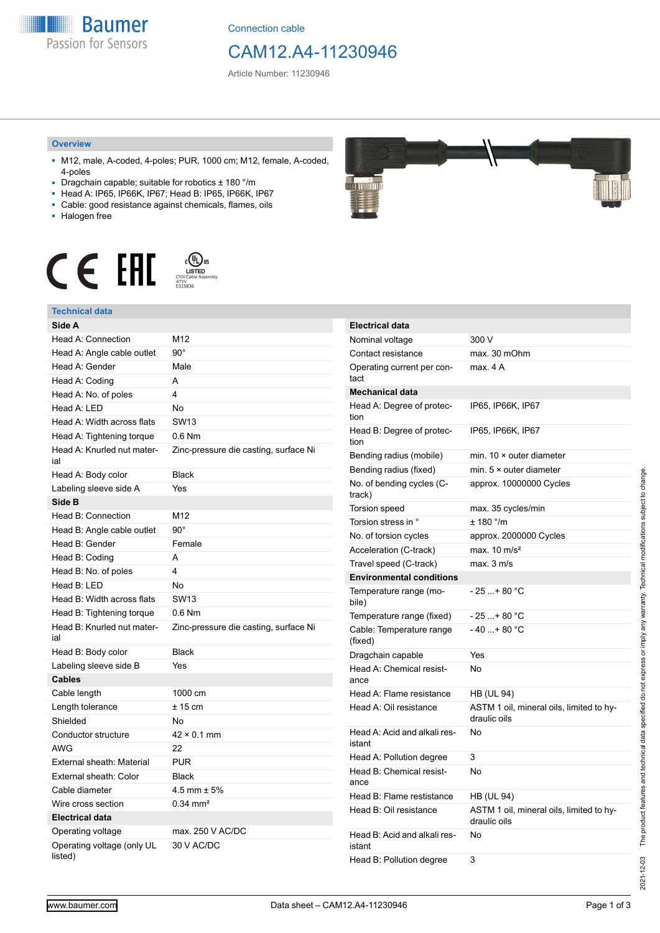

Connection cable

## CAM12.A4-11230946

Article Number: 11230946

#### **Overview**

- M12, male, A-coded, 4-poles; PUR, 1000 cm; M12, female, A-coded, 4-poles
- Dragchain capable; suitable for robotics ± 180 °/m
- Head A: IP65, IP66K, IP67; Head B: IP65, IP66K, IP67
- Cable: good resistance against chemicals, flames, oils
- Halogen free



### **Technical data**

| rechnical oala                        |                                       |
|---------------------------------------|---------------------------------------|
| Side A                                |                                       |
| Head A: Connection                    | M12                                   |
| Head A: Angle cable outlet            | $90^\circ$                            |
| Head A: Gender                        | Male                                  |
| Head A: Coding                        | A                                     |
| Head A: No. of poles                  | 4                                     |
| Head A: LED                           | No                                    |
| Head A: Width across flats            | <b>SW13</b>                           |
| Head A: Tightening torque             | 0.6 Nm                                |
| Head A: Knurled nut mater-<br>ial     | Zinc-pressure die casting, surface Ni |
| Head A: Body color                    | <b>Black</b>                          |
| Labeling sleeve side A                | Yes                                   |
| Side B                                |                                       |
| Head B: Connection                    | M12                                   |
| Head B: Angle cable outlet            | $90^\circ$                            |
| Head B: Gender                        | Female                                |
| Head B: Coding                        | A                                     |
| Head B: No. of poles                  | 4                                     |
| Head B: LED                           | No                                    |
| Head B: Width across flats            | <b>SW13</b>                           |
| Head B: Tightening torque             | $0.6$ Nm                              |
| Head B: Knurled nut mater-<br>ial     | Zinc-pressure die casting, surface Ni |
| Head B: Body color                    | <b>Black</b>                          |
| Labeling sleeve side B                | Yes                                   |
| <b>Cables</b>                         |                                       |
| Cable length                          | 1000 cm                               |
| Length tolerance                      | $± 15$ cm                             |
| Shielded                              | No                                    |
| Conductor structure                   | $42 \times 0.1$ mm                    |
| <b>AWG</b>                            | 22                                    |
| <b>External sheath: Material</b>      | <b>PUR</b>                            |
| External sheath: Color                | Black                                 |
| Cable diameter                        | 4.5 mm $\pm$ 5%                       |
| Wire cross section                    | $0.34 \, \text{mm}^2$                 |
| <b>Electrical data</b>                |                                       |
| Operating voltage                     | max. 250 V AC/DC                      |
| Operating voltage (only UL<br>listed) | 30 V AC/DC                            |

# **SHILLIN**

| <b>Electrical data</b>                 |                                                          |
|----------------------------------------|----------------------------------------------------------|
| Nominal voltage                        | 300 V                                                    |
| Contact resistance                     | max. 30 mOhm                                             |
| Operating current per con-<br>tact     | max. 4 A                                                 |
| <b>Mechanical data</b>                 |                                                          |
| Head A: Degree of protec-<br>tion      | IP65, IP66K, IP67                                        |
| Head B: Degree of protec-<br>tion      | IP65, IP66K, IP67                                        |
| Bending radius (mobile)                | min. $10 \times$ outer diameter                          |
| Bending radius (fixed)                 | min. $5 \times$ outer diameter                           |
| No. of bending cycles (C-<br>track)    | approx. 10000000 Cycles                                  |
| Torsion speed                          | max. 35 cycles/min                                       |
| Torsion stress in °                    | ± 180 °/m                                                |
| No. of torsion cycles                  | approx. 2000000 Cycles                                   |
| Acceleration (C-track)                 | max. $10 \text{ m/s}^2$                                  |
| Travel speed (C-track)                 | max. 3 m/s                                               |
| <b>Environmental conditions</b>        |                                                          |
| Temperature range (mo-<br>bile)        | $-25$ + 80 °C                                            |
| Temperature range (fixed)              | - 25 + 80 °C                                             |
| Cable: Temperature range<br>(fixed)    | - 40 + 80 °C                                             |
| Dragchain capable                      | Yes                                                      |
| Head A: Chemical resist-<br>ance       | No                                                       |
| Head A: Flame resistance               | <b>HB (UL 94)</b>                                        |
| Head A: Oil resistance                 | ASTM 1 oil, mineral oils, limited to hy-<br>draulic oils |
| Head A: Acid and alkali res-<br>istant | No                                                       |
| Head A: Pollution degree               | 3                                                        |
| Head B: Chemical resist-<br>ance       | No                                                       |
| Head B: Flame restistance              | HB (UL 94)                                               |
| Head B: Oil resistance                 | ASTM 1 oil, mineral oils, limited to hy-<br>draulic oils |
| Head B: Acid and alkali res-<br>istant | Nο                                                       |
| Head B: Pollution degree               | 3                                                        |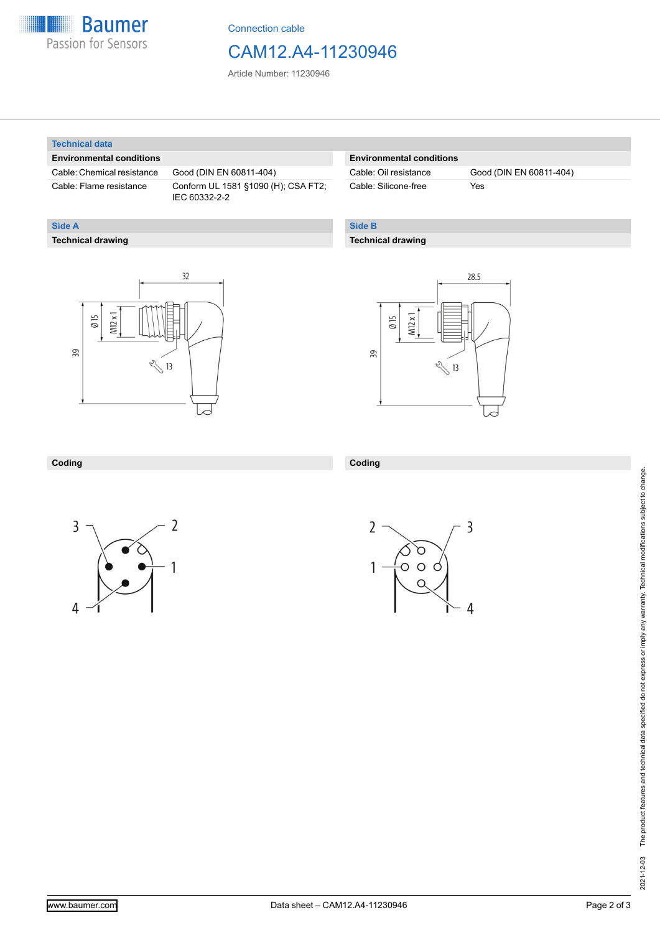

Connection cable

## CAM12.A4-11230946

Article Number: 11230946

#### **Technical data**

**Technical drawing**

**Side A**

#### **Environmental conditions**

Cable: Chemical resistance Good (DIN EN 60811-404)

Cable: Flame resistance Conform UL 1581 §1090 (H); CSA FT2; IEC 60332-2-2

#### **Environmental conditions**

Cable: Silicone-free Yes

Cable: Oil resistance Good (DIN EN 60811-404)

#### **Side B**

#### **Technical drawing**

 $32$  $M12x1$  $\emptyset$  15 39  $\sqrt[3]{13}$ 



#### **Coding**



**Coding**